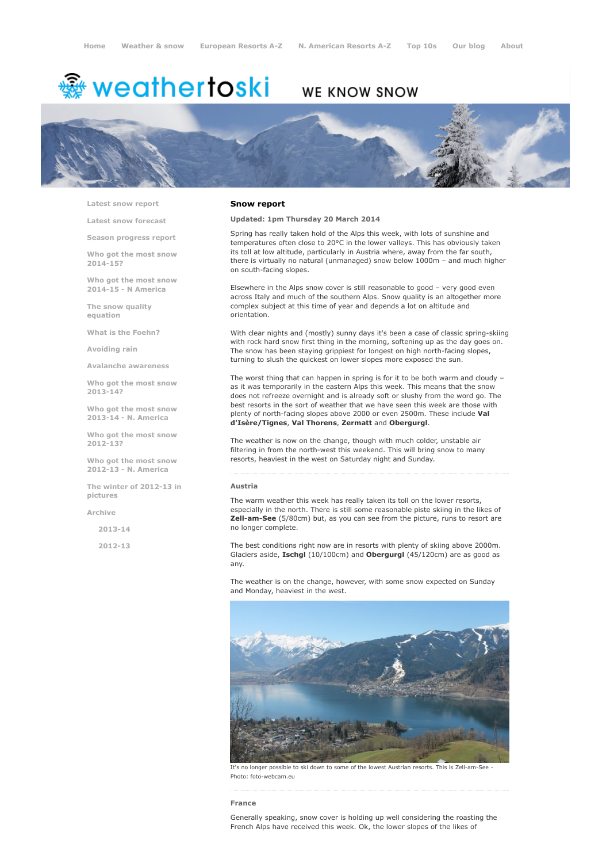# <del>靈</del> weathertoski

# WE KNOW SNOW



Latest snow [report](http://www.weathertoski.co.uk/weather-snow/latest-snow-report/)

Latest snow [forecast](http://www.weathertoski.co.uk/weather-snow/latest-snow-forecast/)

Season [progress](http://www.weathertoski.co.uk/weather-snow/season-progress-report/) report

Who got the most snow 2014-15?

Who got the most snow 2014-15 - N America

The snow quality [equation](http://www.weathertoski.co.uk/weather-snow/the-snow-quality-equation/)

What is the [Foehn?](http://www.weathertoski.co.uk/weather-snow/what-is-the-foehn/)

[Avoiding](http://www.weathertoski.co.uk/weather-snow/avoiding-rain/) rain

Avalanche [awareness](http://www.weathertoski.co.uk/weather-snow/avalanche-awareness/)

Who got the most snow 2013-14?

Who got the most snow 2013-14 - N. America

Who got the most snow 2012-13?

Who got the most snow 2012-13 - N. America

The winter of 2012-13 in pictures

[Archive](http://www.weathertoski.co.uk/weather-snow/archive/)

2013-14

2012-13

#### Snow report

Updated: 1pm Thursday 20 March 2014

Spring has really taken hold of the Alps this week, with lots of sunshine and temperatures often close to 20°C in the lower valleys. This has obviously taken its toll at low altitude, particularly in Austria where, away from the far south, there is virtually no natural (unmanaged) snow below 1000m – and much higher on south-facing slopes.

Elsewhere in the Alps snow cover is still reasonable to good – very good even across Italy and much of the southern Alps. Snow quality is an altogether more complex subject at this time of year and depends a lot on altitude and orientation.

With clear nights and (mostly) sunny days it's been a case of classic spring-skiing with rock hard snow first thing in the morning, softening up as the day goes on. The snow has been staying grippiest for longest on high north-facing slopes, turning to slush the quickest on lower slopes more exposed the sun.

The worst thing that can happen in spring is for it to be both warm and cloudy – as it was temporarily in the eastern Alps this week. This means that the snow does not refreeze overnight and is already soft or slushy from the word go. The best resorts in the sort of weather that we have seen this week are those with plenty of north-facing slopes above 2000 or even 2500m. These include Val d'Isère/Tignes, Val Thorens, Zermatt and Obergurgl.

The weather is now on the change, though with much colder, unstable air filtering in from the north-west this weekend. This will bring snow to many resorts, heaviest in the west on Saturday night and Sunday.

#### Austria

The warm weather this week has really taken its toll on the lower resorts, especially in the north. There is still some reasonable piste skiing in the likes of Zell-am-See (5/80cm) but, as you can see from the picture, runs to resort are no longer complete.

The best conditions right now are in resorts with plenty of skiing above 2000m. Glaciers aside, Ischgl (10/100cm) and Obergurgl (45/120cm) are as good as any.

The weather is on the change, however, with some snow expected on Sunday and Monday, heaviest in the west.



It's no longer possible to ski down to some of the lowest Austrian resorts. This is Zell-am-See Photo: foto-webcam.eu

#### France

Generally speaking, snow cover is holding up well considering the roasting the French Alps have received this week. Ok, the lower slopes of the likes of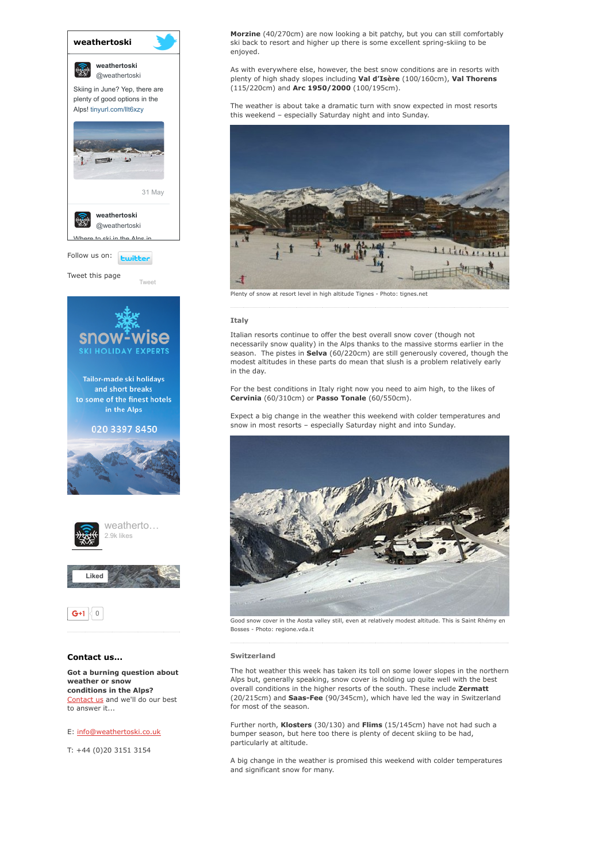

Got a burning question about weather or snow conditions in the Alps? [Contact](http://www.weathertoski.co.uk/about-1/contact-us/) us and we'll do our best to answer it...

### E: [info@weathertoski.co.uk](mailto:fraser@weathertoski.co.uk)

T: +44 (0)20 3151 3154

Morzine (40/270cm) are now looking a bit patchy, but you can still comfortably ski back to resort and higher up there is some excellent spring-skiing to be enjoyed.

As with everywhere else, however, the best snow conditions are in resorts with plenty of high shady slopes including Val d'Isère (100/160cm), Val Thorens (115/220cm) and Arc 1950/2000 (100/195cm).

The weather is about take a dramatic turn with snow expected in most resorts this weekend – especially Saturday night and into Sunday.



Plenty of snow at resort level in high altitude Tignes - Photo: tignes.net

#### **Italy**

Italian resorts continue to offer the best overall snow cover (though not necessarily snow quality) in the Alps thanks to the massive storms earlier in the season. The pistes in Selva (60/220cm) are still generously covered, though the modest altitudes in these parts do mean that slush is a problem relatively early in the day.

For the best conditions in Italy right now you need to aim high, to the likes of Cervinia (60/310cm) or Passo Tonale (60/550cm).

Expect a big change in the weather this weekend with colder temperatures and snow in most resorts – especially Saturday night and into Sunday.



Good snow cover in the Aosta valley still, even at relatively modest altitude. This is Saint Rhémy en Bosses - Photo: regione.vda.it

#### Switzerland

The hot weather this week has taken its toll on some lower slopes in the northern Alps but, generally speaking, snow cover is holding up quite well with the best overall conditions in the higher resorts of the south. These include Zermatt (20/215cm) and Saas-Fee (90/345cm), which have led the way in Switzerland for most of the season.

Further north, Klosters (30/130) and Flims (15/145cm) have not had such a bumper season, but here too there is plenty of decent skiing to be had, particularly at altitude.

A big change in the weather is promised this weekend with colder temperatures and significant snow for many.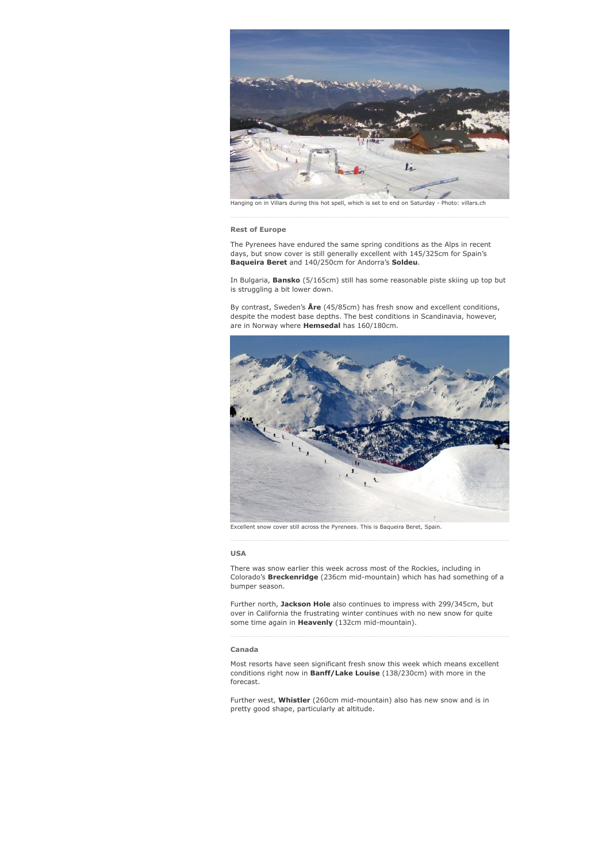

Hanging on in Villars during this hot spell, which is set to end on Saturday - Photo: villars.ch

#### Rest of Europe

The Pyrenees have endured the same spring conditions as the Alps in recent days, but snow cover is still generally excellent with 145/325cm for Spain's Baqueira Beret and 140/250cm for Andorra's Soldeu.

In Bulgaria, Bansko (5/165cm) still has some reasonable piste skiing up top but is struggling a bit lower down.

By contrast, Sweden's  $\text{Åre}$  (45/85cm) has fresh snow and excellent conditions, despite the modest base depths. The best conditions in Scandinavia, however, are in Norway where **Hemsedal** has 160/180cm.



Excellent snow cover still across the Pyrenees. This is Baqueira Beret, Spain.

#### USA

There was snow earlier this week across most of the Rockies, including in Colorado's Breckenridge (236cm mid-mountain) which has had something of a bumper season.

Further north, Jackson Hole also continues to impress with 299/345cm, but over in California the frustrating winter continues with no new snow for quite some time again in Heavenly (132cm mid-mountain).

## Canada

Most resorts have seen significant fresh snow this week which means excellent conditions right now in Banff/Lake Louise (138/230cm) with more in the forecast.

Further west, Whistler (260cm mid-mountain) also has new snow and is in pretty good shape, particularly at altitude.